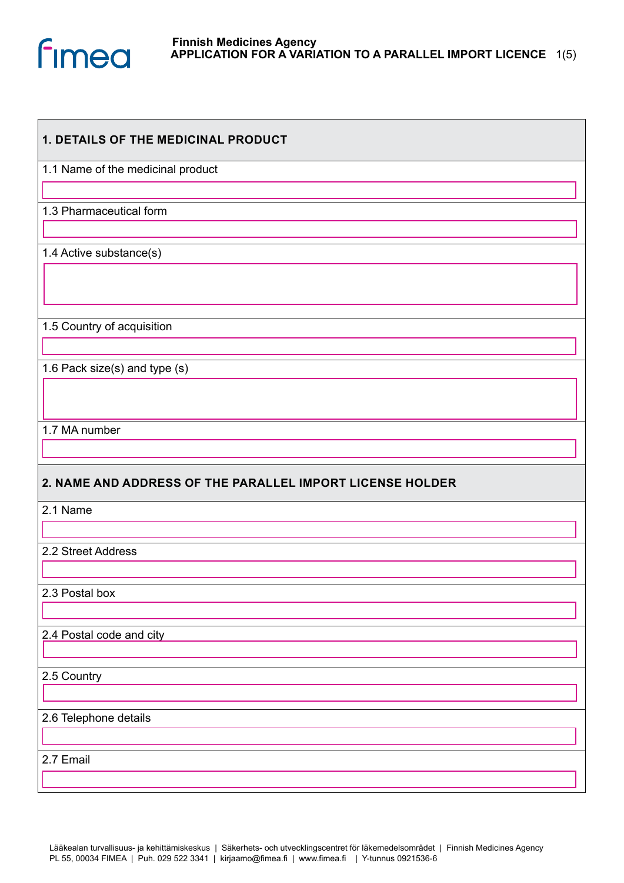

| <b>1. DETAILS OF THE MEDICINAL PRODUCT</b>                |
|-----------------------------------------------------------|
| 1.1 Name of the medicinal product                         |
|                                                           |
| 1.3 Pharmaceutical form                                   |
|                                                           |
| 1.4 Active substance(s)                                   |
|                                                           |
|                                                           |
| 1.5 Country of acquisition                                |
|                                                           |
| 1.6 Pack size(s) and type (s)                             |
|                                                           |
|                                                           |
| 1.7 MA number                                             |
|                                                           |
| 2. NAME AND ADDRESS OF THE PARALLEL IMPORT LICENSE HOLDER |
|                                                           |
| 2.1 Name                                                  |
|                                                           |
| 2.2 Street Address                                        |
|                                                           |
| 2.3 Postal box                                            |
|                                                           |
| 2.4 Postal code and city                                  |
|                                                           |
| 2.5 Country                                               |
|                                                           |
| 2.6 Telephone details                                     |
|                                                           |
| 2.7 Email                                                 |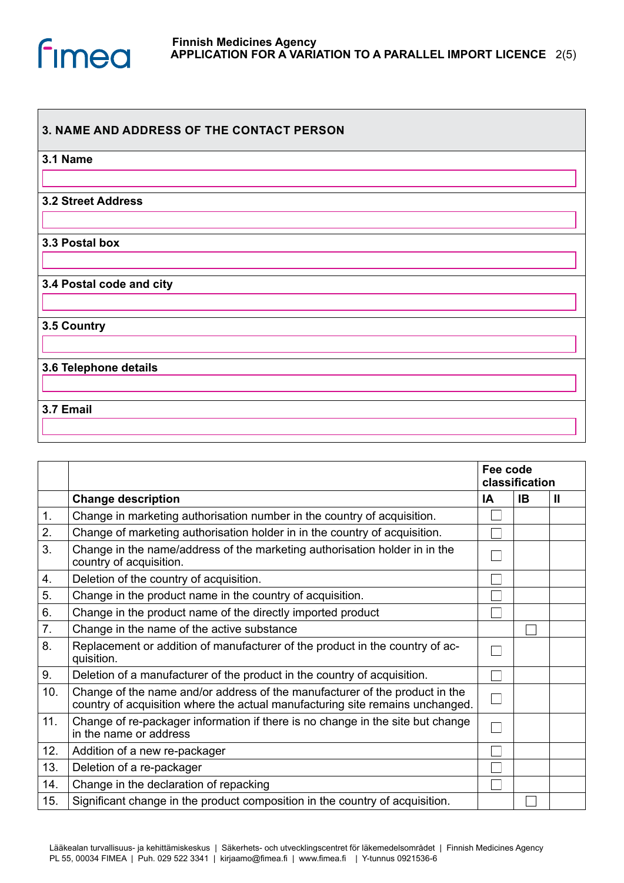

## **3. NAME AND ADDRESS OF THE CONTACT PERSON**

| 3.1 Name |
|----------|
|          |

**3.2 Street Address**

**3.3 Postal box**

**3.4 Postal code and city**

**3.5 Country**

**3.6 Telephone details**

## **3.7 Email**

|     |                                                                                                                                                              | Fee code<br>classification |    |   |
|-----|--------------------------------------------------------------------------------------------------------------------------------------------------------------|----------------------------|----|---|
|     | <b>Change description</b>                                                                                                                                    | IΑ                         | ΙB | Ш |
| 1.  | Change in marketing authorisation number in the country of acquisition.                                                                                      |                            |    |   |
| 2.  | Change of marketing authorisation holder in in the country of acquisition.                                                                                   |                            |    |   |
| 3.  | Change in the name/address of the marketing authorisation holder in in the<br>country of acquisition.                                                        |                            |    |   |
| 4.  | Deletion of the country of acquisition.                                                                                                                      |                            |    |   |
| 5.  | Change in the product name in the country of acquisition.                                                                                                    |                            |    |   |
| 6.  | Change in the product name of the directly imported product                                                                                                  |                            |    |   |
| 7.  | Change in the name of the active substance                                                                                                                   |                            |    |   |
| 8.  | Replacement or addition of manufacturer of the product in the country of ac-<br>quisition.                                                                   |                            |    |   |
| 9.  | Deletion of a manufacturer of the product in the country of acquisition.                                                                                     |                            |    |   |
| 10. | Change of the name and/or address of the manufacturer of the product in the<br>country of acquisition where the actual manufacturing site remains unchanged. |                            |    |   |
| 11. | Change of re-packager information if there is no change in the site but change<br>in the name or address                                                     |                            |    |   |
| 12. | Addition of a new re-packager                                                                                                                                |                            |    |   |
| 13. | Deletion of a re-packager                                                                                                                                    |                            |    |   |
| 14. | Change in the declaration of repacking                                                                                                                       |                            |    |   |
| 15. | Significant change in the product composition in the country of acquisition.                                                                                 |                            |    |   |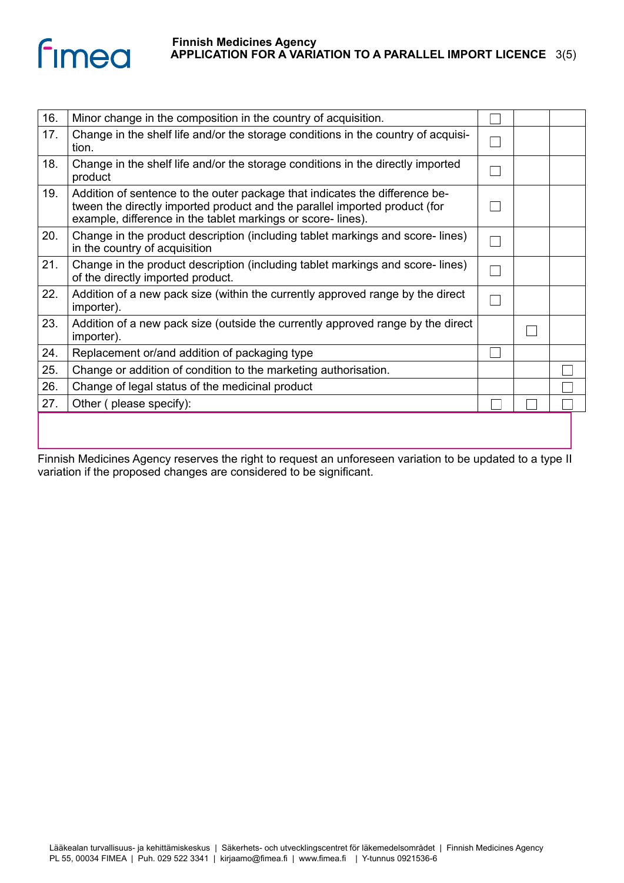

| 16. | Minor change in the composition in the country of acquisition.                                                                                                                                                           |  |  |
|-----|--------------------------------------------------------------------------------------------------------------------------------------------------------------------------------------------------------------------------|--|--|
| 17. | Change in the shelf life and/or the storage conditions in the country of acquisi-<br>tion.                                                                                                                               |  |  |
| 18. | Change in the shelf life and/or the storage conditions in the directly imported<br>product                                                                                                                               |  |  |
| 19. | Addition of sentence to the outer package that indicates the difference be-<br>tween the directly imported product and the parallel imported product (for<br>example, difference in the tablet markings or score-lines). |  |  |
| 20. | Change in the product description (including tablet markings and score-lines)<br>in the country of acquisition                                                                                                           |  |  |
| 21. | Change in the product description (including tablet markings and score-lines)<br>of the directly imported product.                                                                                                       |  |  |
| 22. | Addition of a new pack size (within the currently approved range by the direct<br>importer).                                                                                                                             |  |  |
| 23. | Addition of a new pack size (outside the currently approved range by the direct<br>importer).                                                                                                                            |  |  |
| 24. | Replacement or/and addition of packaging type                                                                                                                                                                            |  |  |
| 25. | Change or addition of condition to the marketing authorisation.                                                                                                                                                          |  |  |
| 26. | Change of legal status of the medicinal product                                                                                                                                                                          |  |  |
| 27. | Other (please specify):                                                                                                                                                                                                  |  |  |
|     |                                                                                                                                                                                                                          |  |  |

Finnish Medicines Agency reserves the right to request an unforeseen variation to be updated to a type II variation if the proposed changes are considered to be significant.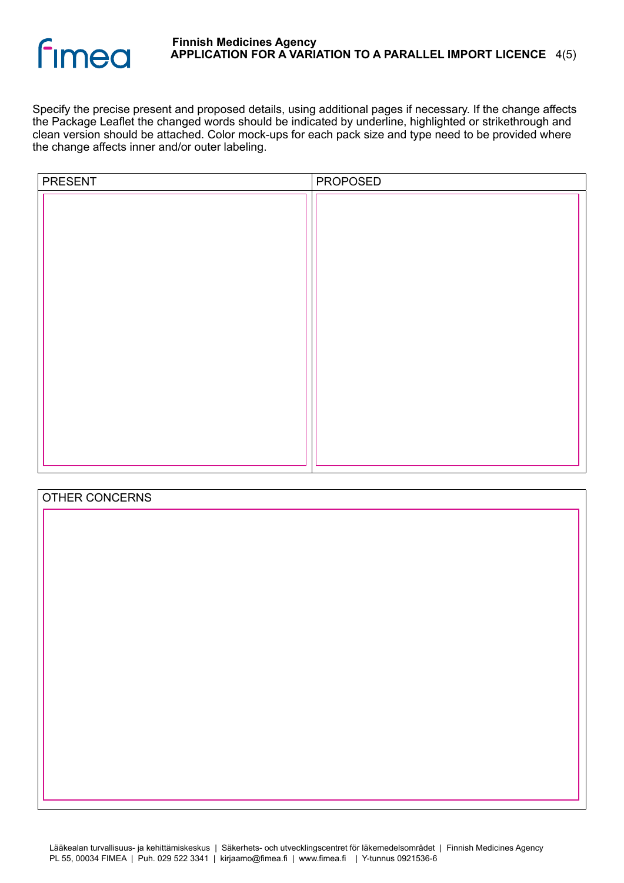

Specify the precise present and proposed details, using additional pages if necessary. If the change affects the Package Leaflet the changed words should be indicated by underline, highlighted or strikethrough and clean version should be attached. Color mock-ups for each pack size and type need to be provided where the change affects inner and/or outer labeling.

| PRESENT | PROPOSED |  |
|---------|----------|--|
|         |          |  |
|         |          |  |
|         |          |  |
|         |          |  |
|         |          |  |

| OTHER CONCERNS |  |
|----------------|--|
|                |  |
|                |  |
|                |  |
|                |  |
|                |  |
|                |  |
|                |  |
|                |  |
|                |  |
|                |  |
|                |  |
|                |  |
|                |  |
|                |  |
|                |  |
|                |  |
|                |  |
|                |  |
|                |  |
|                |  |
|                |  |
|                |  |